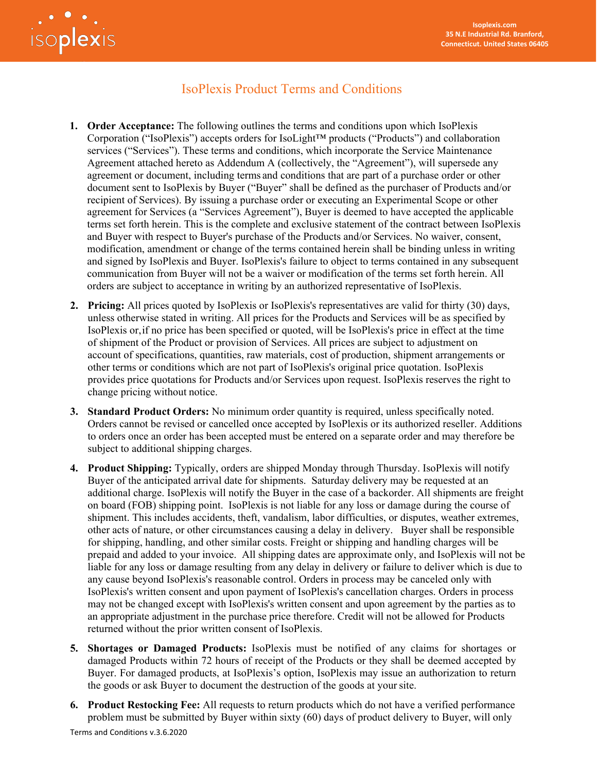

# IsoPlexis Product Terms and Conditions

- **1. Order Acceptance:** The following outlines the terms and conditions upon which IsoPlexis Corporation ("IsoPlexis") accepts orders for IsoLight™ products ("Products") and collaboration services ("Services"). These terms and conditions, which incorporate the Service Maintenance Agreement attached hereto as Addendum A (collectively, the "Agreement"), will supersede any agreement or document, including terms and conditions that are part of a purchase order or other document sent to IsoPlexis by Buyer ("Buyer" shall be defined as the purchaser of Products and/or recipient of Services). By issuing a purchase order or executing an Experimental Scope or other agreement for Services (a "Services Agreement"), Buyer is deemed to have accepted the applicable terms set forth herein. This is the complete and exclusive statement of the contract between IsoPlexis and Buyer with respect to Buyer's purchase of the Products and/or Services. No waiver, consent, modification, amendment or change of the terms contained herein shall be binding unless in writing and signed by IsoPlexis and Buyer. IsoPlexis's failure to object to terms contained in any subsequent communication from Buyer will not be a waiver or modification of the terms set forth herein. All orders are subject to acceptance in writing by an authorized representative of IsoPlexis.
- **2. Pricing:** All prices quoted by IsoPlexis or IsoPlexis's representatives are valid for thirty (30) days, unless otherwise stated in writing. All prices for the Products and Services will be as specified by IsoPlexis or,if no price has been specified or quoted, will be IsoPlexis's price in effect at the time of shipment of the Product or provision of Services. All prices are subject to adjustment on account of specifications, quantities, raw materials, cost of production, shipment arrangements or other terms or conditions which are not part of IsoPlexis's original price quotation. IsoPlexis provides price quotations for Products and/or Services upon request. IsoPlexis reserves the right to change pricing without notice.
- **3. Standard Product Orders:** No minimum order quantity is required, unless specifically noted. Orders cannot be revised or cancelled once accepted by IsoPlexis or its authorized reseller. Additions to orders once an order has been accepted must be entered on a separate order and may therefore be subject to additional shipping charges.
- **4. Product Shipping:** Typically, orders are shipped Monday through Thursday. IsoPlexis will notify Buyer of the anticipated arrival date for shipments. Saturday delivery may be requested at an additional charge. IsoPlexis will notify the Buyer in the case of a backorder. All shipments are freight on board (FOB) shipping point. IsoPlexis is not liable for any loss or damage during the course of shipment. This includes accidents, theft, vandalism, labor difficulties, or disputes, weather extremes, other acts of nature, or other circumstances causing a delay in delivery. Buyer shall be responsible for shipping, handling, and other similar costs. Freight or shipping and handling charges will be prepaid and added to your invoice. All shipping dates are approximate only, and IsoPlexis will not be liable for any loss or damage resulting from any delay in delivery or failure to deliver which is due to any cause beyond IsoPlexis's reasonable control. Orders in process may be canceled only with IsoPlexis's written consent and upon payment of IsoPlexis's cancellation charges. Orders in process may not be changed except with IsoPlexis's written consent and upon agreement by the parties as to an appropriate adjustment in the purchase price therefore. Credit will not be allowed for Products returned without the prior written consent of IsoPlexis.
- **5. Shortages or Damaged Products:** IsoPlexis must be notified of any claims for shortages or damaged Products within 72 hours of receipt of the Products or they shall be deemed accepted by Buyer. For damaged products, at IsoPlexis's option, IsoPlexis may issue an authorization to return the goods or ask Buyer to document the destruction of the goods at yoursite.
- **6. Product Restocking Fee:** All requests to return products which do not have a verified performance problem must be submitted by Buyer within sixty (60) days of product delivery to Buyer, will only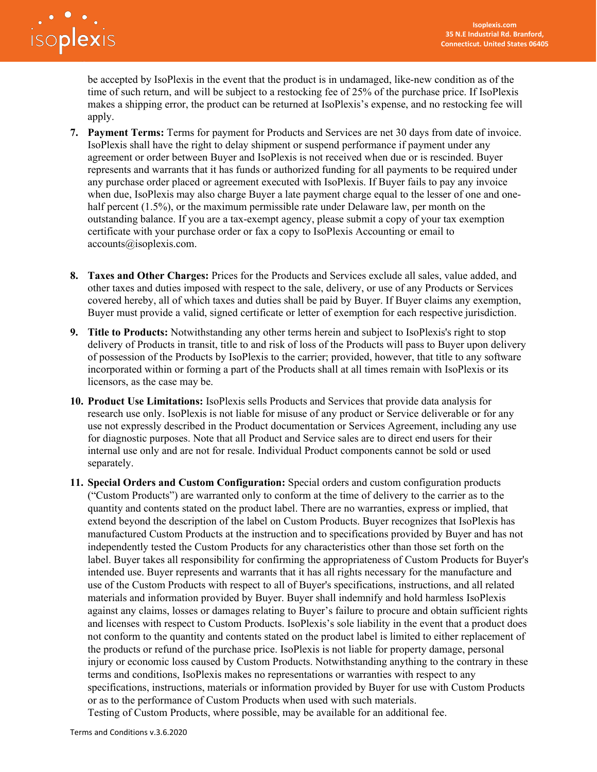

be accepted by IsoPlexis in the event that the product is in undamaged, like-new condition as of the time of such return, and will be subject to a restocking fee of 25% of the purchase price. If IsoPlexis makes a shipping error, the product can be returned at IsoPlexis's expense, and no restocking fee will apply.

- **7. Payment Terms:** Terms for payment for Products and Services are net 30 days from date of invoice. IsoPlexis shall have the right to delay shipment or suspend performance if payment under any agreement or order between Buyer and IsoPlexis is not received when due or is rescinded. Buyer represents and warrants that it has funds or authorized funding for all payments to be required under any purchase order placed or agreement executed with IsoPlexis. If Buyer fails to pay any invoice when due, IsoPlexis may also charge Buyer a late payment charge equal to the lesser of one and onehalf percent (1.5%), or the maximum permissible rate under Delaware law, per month on the outstanding balance. If you are a tax-exempt agency, please submit a copy of your tax exemption certificate with your purchase order or fax a copy to IsoPlexis Accounting or email to [accounts@isoplexis.com.](mailto:accounts@isoplexis.com)
- **8. Taxes and Other Charges:** Prices for the Products and Services exclude all sales, value added, and other taxes and duties imposed with respect to the sale, delivery, or use of any Products or Services covered hereby, all of which taxes and duties shall be paid by Buyer. If Buyer claims any exemption, Buyer must provide a valid, signed certificate or letter of exemption for each respective jurisdiction.
- **9. Title to Products:** Notwithstanding any other terms herein and subject to IsoPlexis's right to stop delivery of Products in transit, title to and risk of loss of the Products will pass to Buyer upon delivery of possession of the Products by IsoPlexis to the carrier; provided, however, that title to any software incorporated within or forming a part of the Products shall at all times remain with IsoPlexis or its licensors, as the case may be.
- **10. Product Use Limitations:** IsoPlexis sells Products and Services that provide data analysis for research use only. IsoPlexis is not liable for misuse of any product or Service deliverable or for any use not expressly described in the Product documentation or Services Agreement, including any use for diagnostic purposes. Note that all Product and Service sales are to direct end users for their internal use only and are not for resale. Individual Product components cannot be sold or used separately.
- **11. Special Orders and Custom Configuration:** Special orders and custom configuration products ("Custom Products") are warranted only to conform at the time of delivery to the carrier as to the quantity and contents stated on the product label. There are no warranties, express or implied, that extend beyond the description of the label on Custom Products. Buyer recognizes that IsoPlexis has manufactured Custom Products at the instruction and to specifications provided by Buyer and has not independently tested the Custom Products for any characteristics other than those set forth on the label. Buyer takes all responsibility for confirming the appropriateness of Custom Products for Buyer's intended use. Buyer represents and warrants that it has all rights necessary for the manufacture and use of the Custom Products with respect to all of Buyer's specifications, instructions, and all related materials and information provided by Buyer. Buyer shall indemnify and hold harmless IsoPlexis against any claims, losses or damages relating to Buyer's failure to procure and obtain sufficient rights and licenses with respect to Custom Products. IsoPlexis's sole liability in the event that a product does not conform to the quantity and contents stated on the product label is limited to either replacement of the products or refund of the purchase price. IsoPlexis is not liable for property damage, personal injury or economic loss caused by Custom Products. Notwithstanding anything to the contrary in these terms and conditions, IsoPlexis makes no representations or warranties with respect to any specifications, instructions, materials or information provided by Buyer for use with Custom Products or as to the performance of Custom Products when used with such materials.

Testing of Custom Products, where possible, may be available for an additional fee.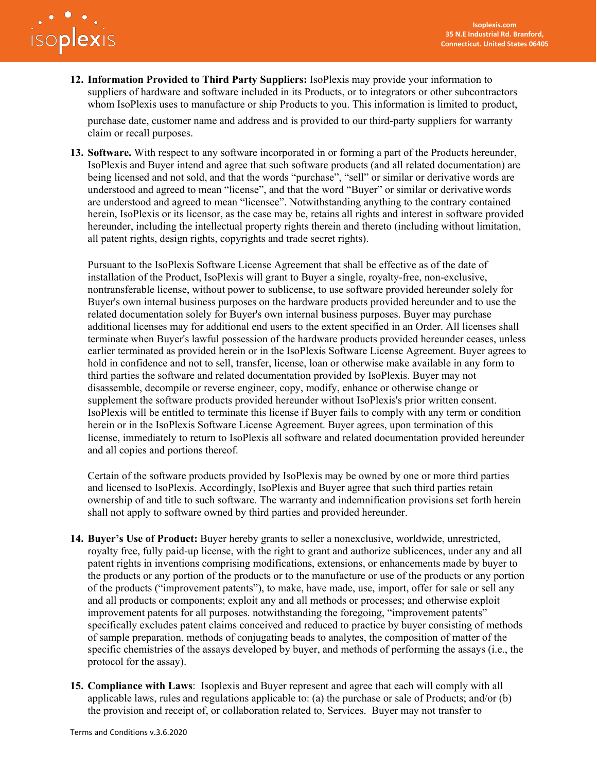

**12. Information Provided to Third Party Suppliers:** IsoPlexis may provide your information to suppliers of hardware and software included in its Products, or to integrators or other subcontractors whom IsoPlexis uses to manufacture or ship Products to you. This information is limited to product,

purchase date, customer name and address and is provided to our third-party suppliers for warranty claim or recall purposes.

**13. Software.** With respect to any software incorporated in or forming a part of the Products hereunder, IsoPlexis and Buyer intend and agree that such software products (and all related documentation) are being licensed and not sold, and that the words "purchase", "sell" or similar or derivative words are understood and agreed to mean "license", and that the word "Buyer" or similar or derivativewords are understood and agreed to mean "licensee". Notwithstanding anything to the contrary contained herein, IsoPlexis or its licensor, as the case may be, retains all rights and interest in software provided hereunder, including the intellectual property rights therein and thereto (including without limitation, all patent rights, design rights, copyrights and trade secret rights).

Pursuant to the IsoPlexis Software License Agreement that shall be effective as of the date of installation of the Product, IsoPlexis will grant to Buyer a single, royalty-free, non-exclusive, nontransferable license, without power to sublicense, to use software provided hereunder solely for Buyer's own internal business purposes on the hardware products provided hereunder and to use the related documentation solely for Buyer's own internal business purposes. Buyer may purchase additional licenses may for additional end users to the extent specified in an Order. All licenses shall terminate when Buyer's lawful possession of the hardware products provided hereunder ceases, unless earlier terminated as provided herein or in the IsoPlexis Software License Agreement. Buyer agrees to hold in confidence and not to sell, transfer, license, loan or otherwise make available in any form to third parties the software and related documentation provided by IsoPlexis. Buyer may not disassemble, decompile or reverse engineer, copy, modify, enhance or otherwise change or supplement the software products provided hereunder without IsoPlexis's prior written consent. IsoPlexis will be entitled to terminate this license if Buyer fails to comply with any term or condition herein or in the IsoPlexis Software License Agreement. Buyer agrees, upon termination of this license, immediately to return to IsoPlexis all software and related documentation provided hereunder and all copies and portions thereof.

Certain of the software products provided by IsoPlexis may be owned by one or more third parties and licensed to IsoPlexis. Accordingly, IsoPlexis and Buyer agree that such third parties retain ownership of and title to such software. The warranty and indemnification provisions set forth herein shall not apply to software owned by third parties and provided hereunder.

- **14. Buyer's Use of Product:** Buyer hereby grants to seller a nonexclusive, worldwide, unrestricted, royalty free, fully paid-up license, with the right to grant and authorize sublicences, under any and all patent rights in inventions comprising modifications, extensions, or enhancements made by buyer to the products or any portion of the products or to the manufacture or use of the products or any portion of the products ("improvement patents"), to make, have made, use, import, offer for sale or sell any and all products or components; exploit any and all methods or processes; and otherwise exploit improvement patents for all purposes. notwithstanding the foregoing, "improvement patents" specifically excludes patent claims conceived and reduced to practice by buyer consisting of methods of sample preparation, methods of conjugating beads to analytes, the composition of matter of the specific chemistries of the assays developed by buyer, and methods of performing the assays (i.e., the protocol for the assay).
- **15. Compliance with Laws**: Isoplexis and Buyer represent and agree that each will comply with all applicable laws, rules and regulations applicable to: (a) the purchase or sale of Products; and/or (b) the provision and receipt of, or collaboration related to, Services. Buyer may not transfer to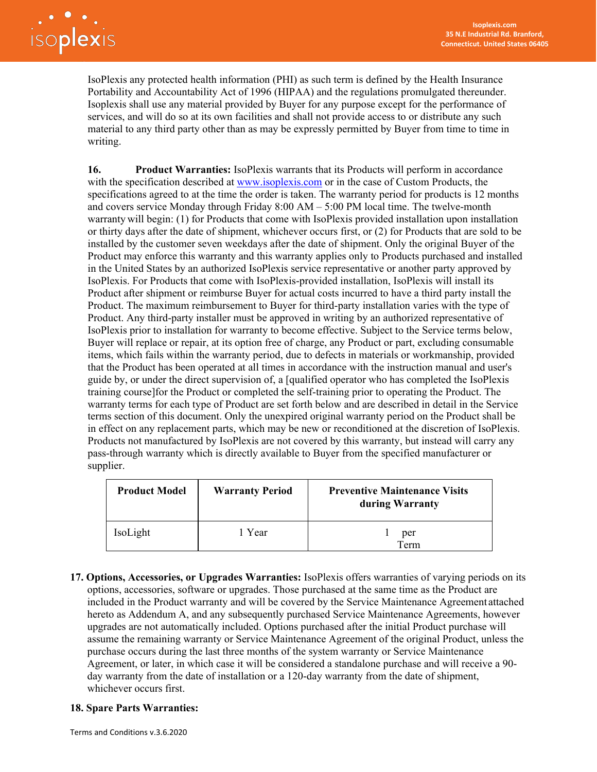IsoPlexis any protected health information (PHI) as such term is defined by the Health Insurance Portability and Accountability Act of 1996 (HIPAA) and the regulations promulgated thereunder. Isoplexis shall use any material provided by Buyer for any purpose except for the performance of services, and will do so at its own facilities and shall not provide access to or distribute any such material to any third party other than as may be expressly permitted by Buyer from time to time in writing.

**16. Product Warranties:** IsoPlexis warrants that its Products will perform in accordance with the specification described at [www.isoplexis.com](http://www.isoplexis.com/) or in the case of Custom Products, the specifications agreed to at the time the order is taken. The warranty period for products is 12 months and covers service Monday through Friday 8:00 AM – 5:00 PM local time. The twelve-month warranty will begin: (1) for Products that come with IsoPlexis provided installation upon installation or thirty days after the date of shipment, whichever occurs first, or (2) for Products that are sold to be installed by the customer seven weekdays after the date of shipment. Only the original Buyer of the Product may enforce this warranty and this warranty applies only to Products purchased and installed in the United States by an authorized IsoPlexis service representative or another party approved by IsoPlexis. For Products that come with IsoPlexis-provided installation, IsoPlexis will install its Product after shipment or reimburse Buyer for actual costs incurred to have a third party install the Product. The maximum reimbursement to Buyer for third-party installation varies with the type of Product. Any third-party installer must be approved in writing by an authorized representative of IsoPlexis prior to installation for warranty to become effective. Subject to the Service terms below, Buyer will replace or repair, at its option free of charge, any Product or part, excluding consumable items, which fails within the warranty period, due to defects in materials or workmanship, provided that the Product has been operated at all times in accordance with the instruction manual and user's guide by, or under the direct supervision of, a [qualified operator who has completed the IsoPlexis training course]for the Product or completed the self-training prior to operating the Product. The warranty terms for each type of Product are set forth below and are described in detail in the Service terms section of this document. Only the unexpired original warranty period on the Product shall be in effect on any replacement parts, which may be new or reconditioned at the discretion of IsoPlexis. Products not manufactured by IsoPlexis are not covered by this warranty, but instead will carry any pass-through warranty which is directly available to Buyer from the specified manufacturer or supplier.

| <b>Product Model</b> | <b>Warranty Period</b> | <b>Preventive Maintenance Visits</b><br>during Warranty |
|----------------------|------------------------|---------------------------------------------------------|
| IsoLight             | 1 Year                 | per<br>Term                                             |

**17. Options, Accessories, or Upgrades Warranties:** IsoPlexis offers warranties of varying periods on its options, accessories, software or upgrades. Those purchased at the same time as the Product are included in the Product warranty and will be covered by the Service Maintenance Agreement attached hereto as Addendum A, and any subsequently purchased Service Maintenance Agreements, however upgrades are not automatically included. Options purchased after the initial Product purchase will assume the remaining warranty or Service Maintenance Agreement of the original Product, unless the purchase occurs during the last three months of the system warranty or Service Maintenance Agreement, or later, in which case it will be considered a standalone purchase and will receive a 90 day warranty from the date of installation or a 120-day warranty from the date of shipment, whichever occurs first.

## **18. Spare Parts Warranties:**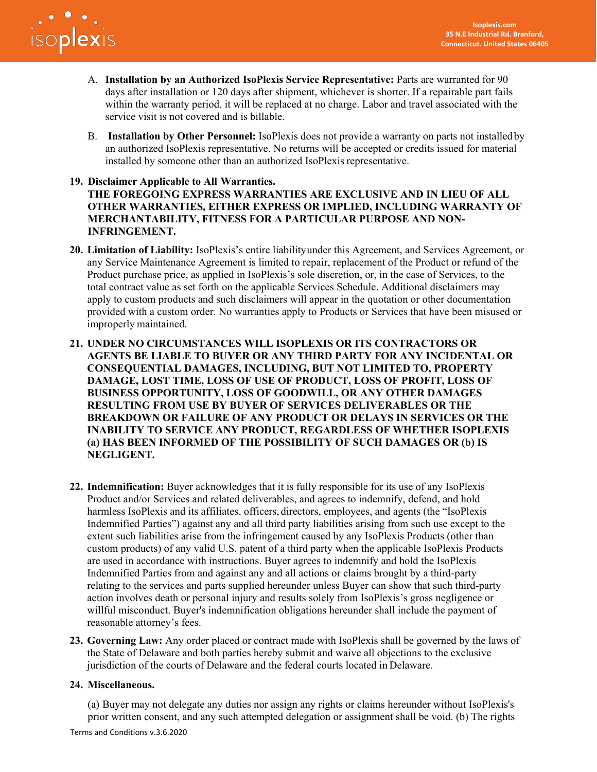

- A. **Installation by an Authorized IsoPlexis Service Representative:** Parts are warranted for 90 days after installation or 120 days after shipment, whichever is shorter. If a repairable part fails within the warranty period, it will be replaced at no charge. Labor and travel associated with the service visit is not covered and is billable.
- B. **Installation by Other Personnel:** IsoPlexis does not provide a warranty on parts not installed by an authorized IsoPlexis representative. No returns will be accepted or credits issued for material installed by someone other than an authorized IsoPlexis representative.

### **19. Disclaimer Applicable to All Warranties.**

**THE FOREGOING EXPRESS WARRANTIES ARE EXCLUSIVE AND IN LIEU OF ALL OTHER WARRANTIES, EITHER EXPRESS OR IMPLIED, INCLUDING WARRANTY OF MERCHANTABILITY, FITNESS FOR A PARTICULAR PURPOSE AND NON-INFRINGEMENT.**

- **20. Limitation of Liability:** IsoPlexis's entire liabilityunder this Agreement, and Services Agreement, or any Service Maintenance Agreement is limited to repair, replacement of the Product or refund of the Product purchase price, as applied in IsoPlexis's sole discretion, or, in the case of Services, to the total contract value as set forth on the applicable Services Schedule. Additional disclaimers may apply to custom products and such disclaimers will appear in the quotation or other documentation provided with a custom order. No warranties apply to Products or Services that have been misused or improperly maintained.
- **21. UNDER NO CIRCUMSTANCES WILL ISOPLEXIS OR ITS CONTRACTORS OR AGENTS BE LIABLE TO BUYER OR ANY THIRD PARTY FOR ANY INCIDENTAL OR CONSEQUENTIAL DAMAGES, INCLUDING, BUT NOT LIMITED TO, PROPERTY DAMAGE, LOST TIME, LOSS OF USE OF PRODUCT, LOSS OF PROFIT, LOSS OF BUSINESS OPPORTUNITY, LOSS OF GOODWILL, OR ANY OTHER DAMAGES RESULTING FROM USE BY BUYER OF SERVICES DELIVERABLES OR THE BREAKDOWN OR FAILURE OF ANY PRODUCT OR DELAYS IN SERVICES OR THE INABILITY TO SERVICE ANY PRODUCT, REGARDLESS OF WHETHER ISOPLEXIS (a) HAS BEEN INFORMED OF THE POSSIBILITY OF SUCH DAMAGES OR (b) IS NEGLIGENT.**
- **22. Indemnification:** Buyer acknowledges that it is fully responsible for its use of any IsoPlexis Product and/or Services and related deliverables, and agrees to indemnify, defend, and hold harmless IsoPlexis and its affiliates, officers, directors, employees, and agents (the "IsoPlexis Indemnified Parties") against any and all third party liabilities arising from such use except to the extent such liabilities arise from the infringement caused by any IsoPlexis Products (other than custom products) of any valid U.S. patent of a third party when the applicable IsoPlexis Products are used in accordance with instructions. Buyer agrees to indemnify and hold the IsoPlexis Indemnified Parties from and against any and all actions or claims brought by a third-party relating to the services and parts supplied hereunder unless Buyer can show that such third-party action involves death or personal injury and results solely from IsoPlexis's gross negligence or willful misconduct. Buyer's indemnification obligations hereunder shall include the payment of reasonable attorney's fees.
- **23. Governing Law:** Any order placed or contract made with IsoPlexis shall be governed by the laws of the State of Delaware and both parties hereby submit and waive all objections to the exclusive jurisdiction of the courts of Delaware and the federal courts located in Delaware.

#### **24. Miscellaneous.**

(a) Buyer may not delegate any duties nor assign any rights or claims hereunder without IsoPlexis's prior written consent, and any such attempted delegation or assignment shall be void. (b) The rights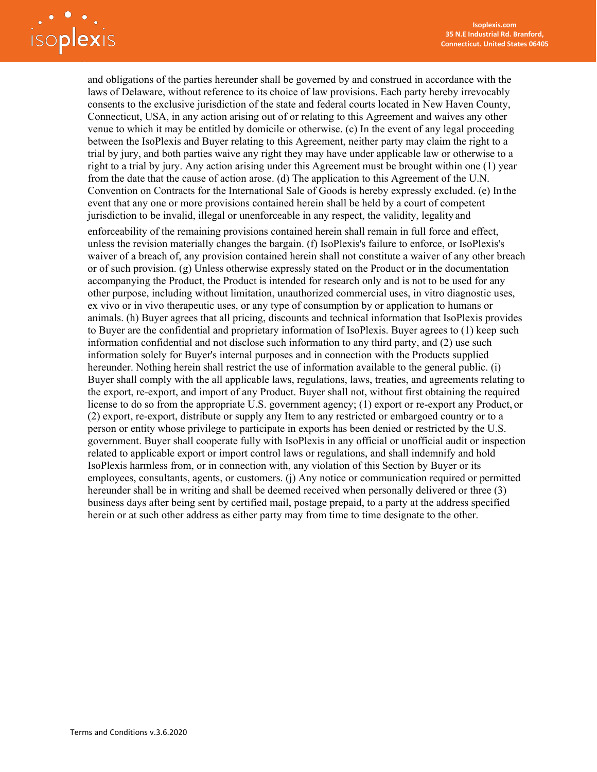

and obligations of the parties hereunder shall be governed by and construed in accordance with the laws of Delaware, without reference to its choice of law provisions. Each party hereby irrevocably consents to the exclusive jurisdiction of the state and federal courts located in New Haven County, Connecticut, USA, in any action arising out of or relating to this Agreement and waives any other venue to which it may be entitled by domicile or otherwise. (c) In the event of any legal proceeding between the IsoPlexis and Buyer relating to this Agreement, neither party may claim the right to a trial by jury, and both parties waive any right they may have under applicable law or otherwise to a right to a trial by jury. Any action arising under this Agreement must be brought within one (1) year from the date that the cause of action arose. (d) The application to this Agreement of the U.N. Convention on Contracts for the International Sale of Goods is hereby expressly excluded. (e) Inthe event that any one or more provisions contained herein shall be held by a court of competent jurisdiction to be invalid, illegal or unenforceable in any respect, the validity, legality and

enforceability of the remaining provisions contained herein shall remain in full force and effect, unless the revision materially changes the bargain. (f) IsoPlexis's failure to enforce, or IsoPlexis's waiver of a breach of, any provision contained herein shall not constitute a waiver of any other breach or of such provision. (g) Unless otherwise expressly stated on the Product or in the documentation accompanying the Product, the Product is intended for research only and is not to be used for any other purpose, including without limitation, unauthorized commercial uses, in vitro diagnostic uses, ex vivo or in vivo therapeutic uses, or any type of consumption by or application to humans or animals. (h) Buyer agrees that all pricing, discounts and technical information that IsoPlexis provides to Buyer are the confidential and proprietary information of IsoPlexis. Buyer agrees to (1) keep such information confidential and not disclose such information to any third party, and (2) use such information solely for Buyer's internal purposes and in connection with the Products supplied hereunder. Nothing herein shall restrict the use of information available to the general public. (i) Buyer shall comply with the all applicable laws, regulations, laws, treaties, and agreements relating to the export, re-export, and import of any Product. Buyer shall not, without first obtaining the required license to do so from the appropriate U.S. government agency; (1) export or re-export any Product, or (2) export, re-export, distribute or supply any Item to any restricted or embargoed country or to a person or entity whose privilege to participate in exports has been denied or restricted by the U.S. government. Buyer shall cooperate fully with IsoPlexis in any official or unofficial audit or inspection related to applicable export or import control laws or regulations, and shall indemnify and hold IsoPlexis harmless from, or in connection with, any violation of this Section by Buyer or its employees, consultants, agents, or customers. (j) Any notice or communication required or permitted hereunder shall be in writing and shall be deemed received when personally delivered or three (3) business days after being sent by certified mail, postage prepaid, to a party at the address specified herein or at such other address as either party may from time to time designate to the other.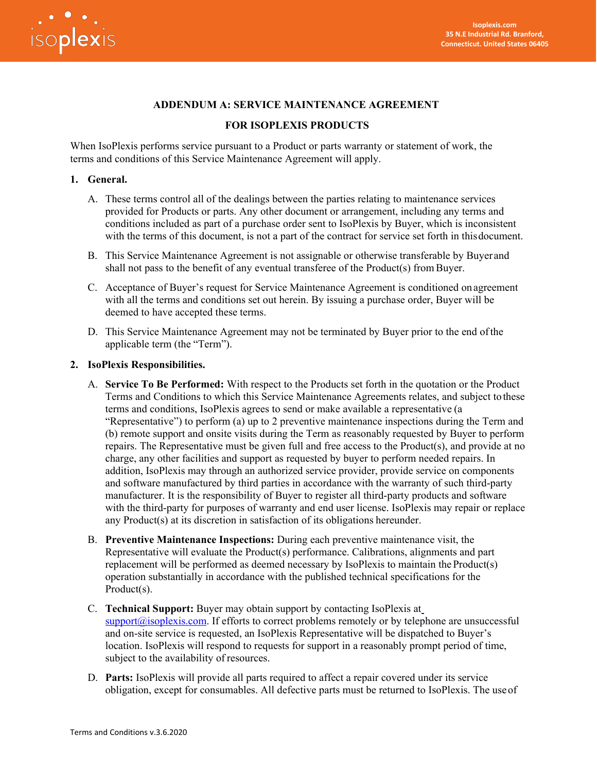

# **ADDENDUM A: SERVICE MAINTENANCE AGREEMENT**

#### **FOR ISOPLEXIS PRODUCTS**

When IsoPlexis performs service pursuant to a Product or parts warranty or statement of work, the terms and conditions of this Service Maintenance Agreement will apply.

#### **1. General.**

- A. These terms control all of the dealings between the parties relating to maintenance services provided for Products or parts. Any other document or arrangement, including any terms and conditions included as part of a purchase order sent to IsoPlexis by Buyer, which is inconsistent with the terms of this document, is not a part of the contract for service set forth in thisdocument.
- B. This Service Maintenance Agreement is not assignable or otherwise transferable by Buyer and shall not pass to the benefit of any eventual transferee of the Product(s) from Buyer.
- C. Acceptance of Buyer's request for Service Maintenance Agreement is conditioned onagreement with all the terms and conditions set out herein. By issuing a purchase order, Buyer will be deemed to have accepted these terms.
- D. This Service Maintenance Agreement may not be terminated by Buyer prior to the end ofthe applicable term (the "Term").

#### **2. IsoPlexis Responsibilities.**

- A. **Service To Be Performed:** With respect to the Products set forth in the quotation or the Product Terms and Conditions to which this Service Maintenance Agreements relates, and subject tothese terms and conditions, IsoPlexis agrees to send or make available a representative (a "Representative") to perform (a) up to 2 preventive maintenance inspections during the Term and (b) remote support and onsite visits during the Term as reasonably requested by Buyer to perform repairs. The Representative must be given full and free access to the Product(s), and provide at no charge, any other facilities and support as requested by buyer to perform needed repairs. In addition, IsoPlexis may through an authorized service provider, provide service on components and software manufactured by third parties in accordance with the warranty of such third-party manufacturer. It is the responsibility of Buyer to register all third-party products and software with the third-party for purposes of warranty and end user license. IsoPlexis may repair or replace any Product(s) at its discretion in satisfaction of its obligations hereunder.
- B. **Preventive Maintenance Inspections:** During each preventive maintenance visit, the Representative will evaluate the Product(s) performance. Calibrations, alignments and part replacement will be performed as deemed necessary by IsoPlexis to maintain theProduct(s) operation substantially in accordance with the published technical specifications for the Product(s).
- C. **Technical Support:** Buyer may obtain support by contacting IsoPlexis at  $support@isoplexis.com$ . If efforts to correct problems remotely or by telephone are unsuccessful and on-site service is requested, an IsoPlexis Representative will be dispatched to Buyer's location. IsoPlexis will respond to requests for support in a reasonably prompt period of time, subject to the availability of resources.
- D. **Parts:** IsoPlexis will provide all parts required to affect a repair covered under its service obligation, except for consumables. All defective parts must be returned to IsoPlexis. The useof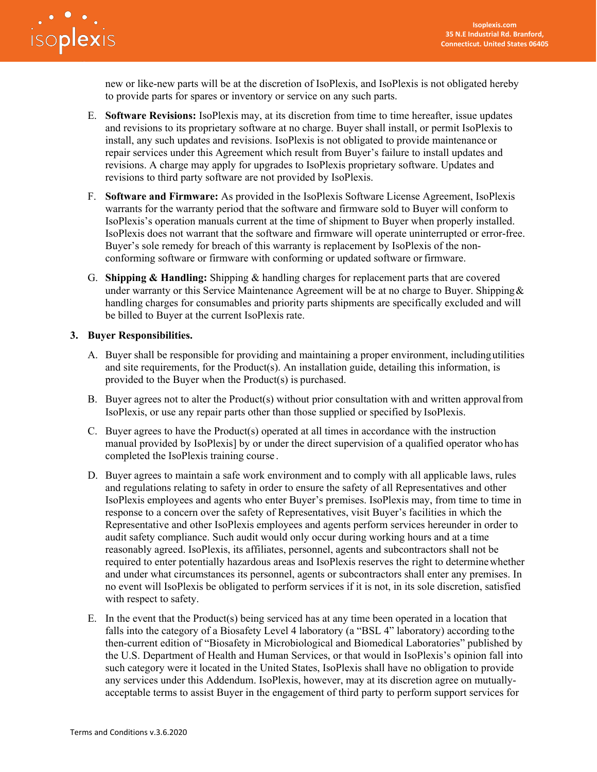

new or like-new parts will be at the discretion of IsoPlexis, and IsoPlexis is not obligated hereby to provide parts for spares or inventory or service on any such parts.

- E. **Software Revisions:** IsoPlexis may, at its discretion from time to time hereafter, issue updates and revisions to its proprietary software at no charge. Buyer shall install, or permit IsoPlexis to install, any such updates and revisions. IsoPlexis is not obligated to provide maintenance or repair services under this Agreement which result from Buyer's failure to install updates and revisions. A charge may apply for upgrades to IsoPlexis proprietary software. Updates and revisions to third party software are not provided by IsoPlexis.
- F. **Software and Firmware:** As provided in the IsoPlexis Software License Agreement, IsoPlexis warrants for the warranty period that the software and firmware sold to Buyer will conform to IsoPlexis's operation manuals current at the time of shipment to Buyer when properly installed. IsoPlexis does not warrant that the software and firmware will operate uninterrupted or error-free. Buyer's sole remedy for breach of this warranty is replacement by IsoPlexis of the nonconforming software or firmware with conforming or updated software or firmware.
- G. **Shipping & Handling:** Shipping & handling charges for replacement parts that are covered under warranty or this Service Maintenance Agreement will be at no charge to Buyer. Shipping  $\&$ handling charges for consumables and priority parts shipments are specifically excluded and will be billed to Buyer at the current IsoPlexis rate.

#### **3. Buyer Responsibilities.**

- A. Buyer shall be responsible for providing and maintaining a proper environment, includingutilities and site requirements, for the Product(s). An installation guide, detailing this information, is provided to the Buyer when the Product(s) is purchased.
- B. Buyer agrees not to alter the Product(s) without prior consultation with and written approvalfrom IsoPlexis, or use any repair parts other than those supplied or specified by IsoPlexis.
- C. Buyer agrees to have the Product(s) operated at all times in accordance with the instruction manual provided by IsoPlexis] by or under the direct supervision of a qualified operator who has completed the IsoPlexis training course .
- D. Buyer agrees to maintain a safe work environment and to comply with all applicable laws, rules and regulations relating to safety in order to ensure the safety of all Representatives and other IsoPlexis employees and agents who enter Buyer's premises. IsoPlexis may, from time to time in response to a concern over the safety of Representatives, visit Buyer's facilities in which the Representative and other IsoPlexis employees and agents perform services hereunder in order to audit safety compliance. Such audit would only occur during working hours and at a time reasonably agreed. IsoPlexis, its affiliates, personnel, agents and subcontractors shall not be required to enter potentially hazardous areas and IsoPlexis reserves the right to determinewhether and under what circumstances its personnel, agents or subcontractors shall enter any premises. In no event will IsoPlexis be obligated to perform services if it is not, in its sole discretion, satisfied with respect to safety.
- E. In the event that the Product(s) being serviced has at any time been operated in a location that falls into the category of a Biosafety Level 4 laboratory (a "BSL 4" laboratory) according tothe then-current edition of "Biosafety in Microbiological and Biomedical Laboratories" published by the U.S. Department of Health and Human Services, or that would in IsoPlexis's opinion fall into such category were it located in the United States, IsoPlexis shall have no obligation to provide any services under this Addendum. IsoPlexis, however, may at its discretion agree on mutuallyacceptable terms to assist Buyer in the engagement of third party to perform support services for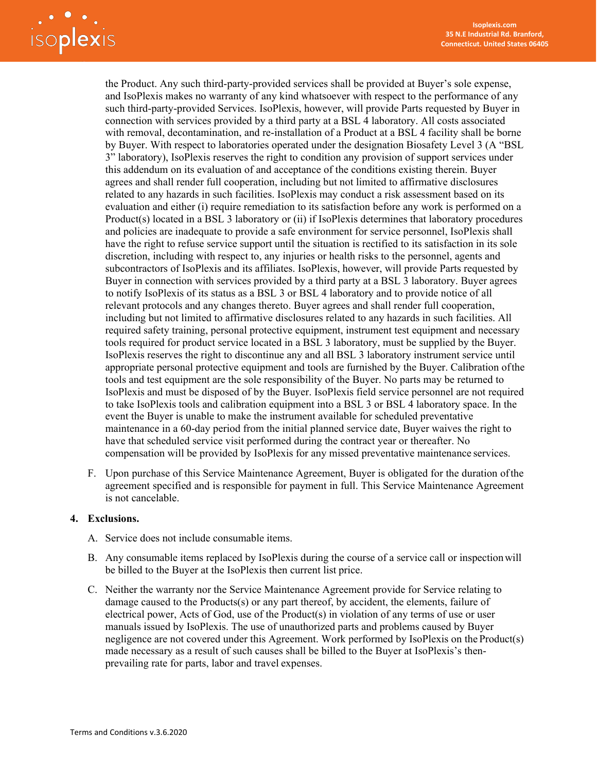# Soplexis

the Product. Any such third-party-provided services shall be provided at Buyer's sole expense, and IsoPlexis makes no warranty of any kind whatsoever with respect to the performance of any such third-party-provided Services. IsoPlexis, however, will provide Parts requested by Buyer in connection with services provided by a third party at a BSL 4 laboratory. All costs associated with removal, decontamination, and re-installation of a Product at a BSL 4 facility shall be borne by Buyer. With respect to laboratories operated under the designation Biosafety Level 3 (A "BSL 3" laboratory), IsoPlexis reserves the right to condition any provision of support services under this addendum on its evaluation of and acceptance of the conditions existing therein. Buyer agrees and shall render full cooperation, including but not limited to affirmative disclosures related to any hazards in such facilities. IsoPlexis may conduct a risk assessment based on its evaluation and either (i) require remediation to its satisfaction before any work is performed on a Product(s) located in a BSL 3 laboratory or (ii) if IsoPlexis determines that laboratory procedures and policies are inadequate to provide a safe environment for service personnel, IsoPlexis shall have the right to refuse service support until the situation is rectified to its satisfaction in its sole discretion, including with respect to, any injuries or health risks to the personnel, agents and subcontractors of IsoPlexis and its affiliates. IsoPlexis, however, will provide Parts requested by Buyer in connection with services provided by a third party at a BSL 3 laboratory. Buyer agrees to notify IsoPlexis of its status as a BSL 3 or BSL 4 laboratory and to provide notice of all relevant protocols and any changes thereto. Buyer agrees and shall render full cooperation, including but not limited to affirmative disclosures related to any hazards in such facilities. All required safety training, personal protective equipment, instrument test equipment and necessary tools required for product service located in a BSL 3 laboratory, must be supplied by the Buyer. IsoPlexis reserves the right to discontinue any and all BSL 3 laboratory instrument service until appropriate personal protective equipment and tools are furnished by the Buyer. Calibration ofthe tools and test equipment are the sole responsibility of the Buyer. No parts may be returned to IsoPlexis and must be disposed of by the Buyer. IsoPlexis field service personnel are not required to take IsoPlexis tools and calibration equipment into a BSL 3 or BSL 4 laboratory space. In the event the Buyer is unable to make the instrument available for scheduled preventative maintenance in a 60-day period from the initial planned service date, Buyer waives the right to have that scheduled service visit performed during the contract year or thereafter. No compensation will be provided by IsoPlexis for any missed preventative maintenance services.

F. Upon purchase of this Service Maintenance Agreement, Buyer is obligated for the duration ofthe agreement specified and is responsible for payment in full. This Service Maintenance Agreement is not cancelable.

#### **4. Exclusions.**

- A. Service does not include consumable items.
- B. Any consumable items replaced by IsoPlexis during the course of a service call or inspectionwill be billed to the Buyer at the IsoPlexis then current list price.
- C. Neither the warranty nor the Service Maintenance Agreement provide for Service relating to damage caused to the Products(s) or any part thereof, by accident, the elements, failure of electrical power, Acts of God, use of the Product(s) in violation of any terms of use or user manuals issued by IsoPlexis. The use of unauthorized parts and problems caused by Buyer negligence are not covered under this Agreement. Work performed by IsoPlexis on the Product(s) made necessary as a result of such causes shall be billed to the Buyer at IsoPlexis's thenprevailing rate for parts, labor and travel expenses.